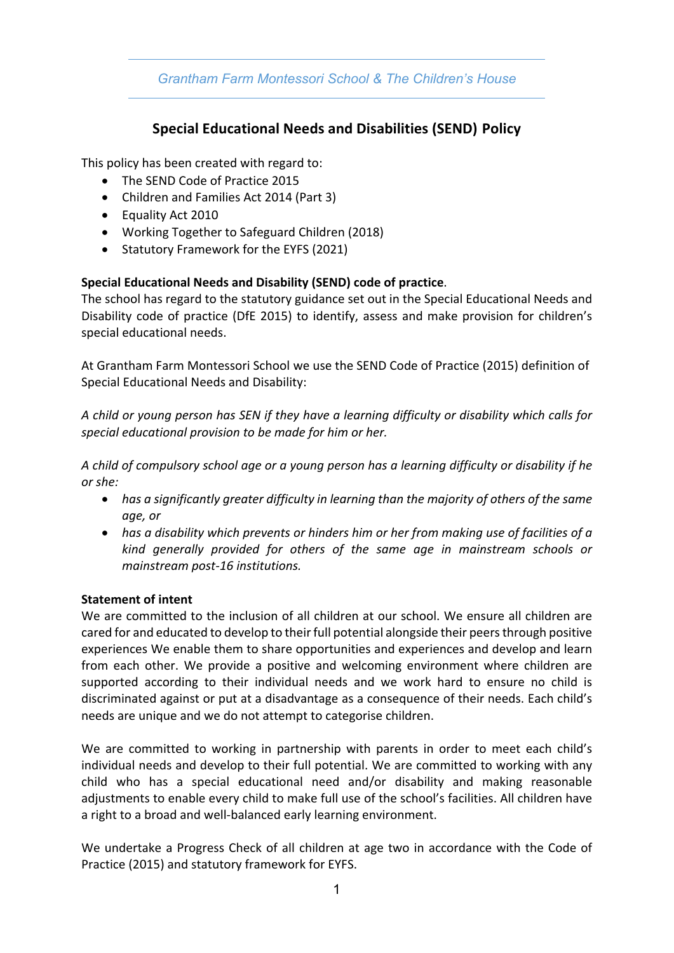# *Grantham Farm Montessori School & The Children's House*

# **Special Educational Needs and Disabilities (SEND) Policy**

This policy has been created with regard to:

- The SEND Code of Practice 2015
- Children and Families Act 2014 (Part 3)
- Equality Act 2010
- Working Together to Safeguard Children (2018)
- Statutory Framework for the EYFS (2021)

### **Special Educational Needs and Disability (SEND) code of practice**.

The school has regard to the statutory guidance set out in the Special Educational Needs and Disability code of practice (DfE 2015) to identify, assess and make provision for children's special educational needs.

At Grantham Farm Montessori School we use the SEND Code of Practice (2015) definition of Special Educational Needs and Disability:

*A child or young person has SEN if they have a learning difficulty or disability which calls for special educational provision to be made for him or her.*

*A child of compulsory school age or a young person has a learning difficulty or disability if he or she:*

- *has a significantly greater difficulty in learning than the majority of others of the same age, or*
- *has a disability which prevents or hinders him or her from making use of facilities of a kind generally provided for others of the same age in mainstream schools or mainstream post-16 institutions.*

### **Statement of intent**

We are committed to the inclusion of all children at our school. We ensure all children are cared for and educated to develop to their full potential alongside their peers through positive experiences We enable them to share opportunities and experiences and develop and learn from each other. We provide a positive and welcoming environment where children are supported according to their individual needs and we work hard to ensure no child is discriminated against or put at a disadvantage as a consequence of their needs. Each child's needs are unique and we do not attempt to categorise children.

We are committed to working in partnership with parents in order to meet each child's individual needs and develop to their full potential. We are committed to working with any child who has a special educational need and/or disability and making reasonable adjustments to enable every child to make full use of the school's facilities. All children have a right to a broad and well-balanced early learning environment.

We undertake a Progress Check of all children at age two in accordance with the Code of Practice (2015) and statutory framework for EYFS.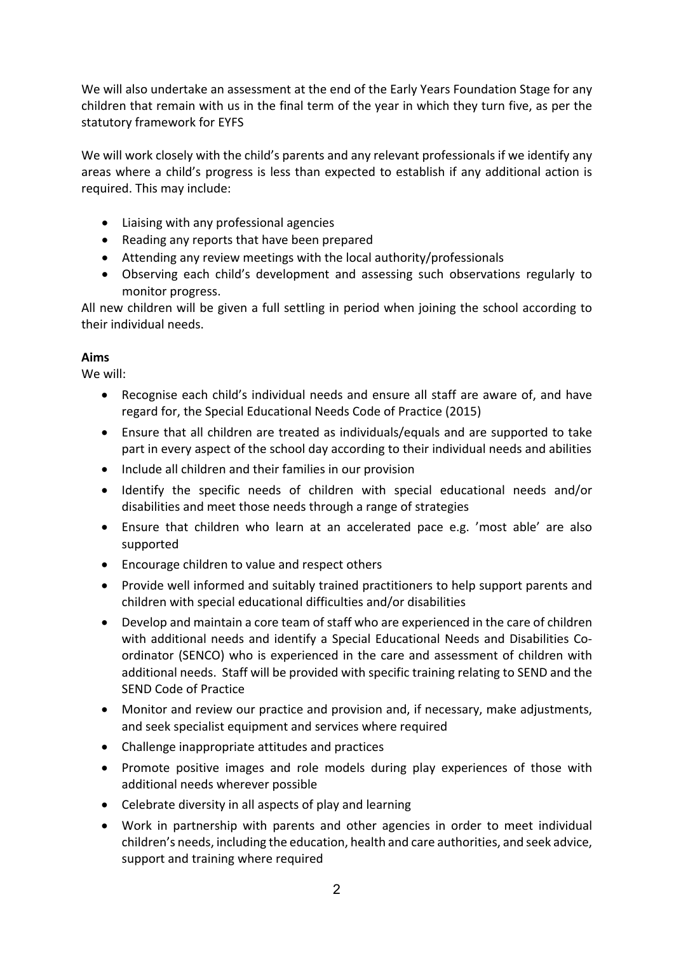We will also undertake an assessment at the end of the Early Years Foundation Stage for any children that remain with us in the final term of the year in which they turn five, as per the statutory framework for EYFS

We will work closely with the child's parents and any relevant professionals if we identify any areas where a child's progress is less than expected to establish if any additional action is required. This may include:

- Liaising with any professional agencies
- Reading any reports that have been prepared
- Attending any review meetings with the local authority/professionals
- Observing each child's development and assessing such observations regularly to monitor progress.

All new children will be given a full settling in period when joining the school according to their individual needs.

## **Aims**

We will:

- Recognise each child's individual needs and ensure all staff are aware of, and have regard for, the Special Educational Needs Code of Practice (2015)
- Ensure that all children are treated as individuals/equals and are supported to take part in every aspect of the school day according to their individual needs and abilities
- Include all children and their families in our provision
- Identify the specific needs of children with special educational needs and/or disabilities and meet those needs through a range of strategies
- Ensure that children who learn at an accelerated pace e.g. 'most able' are also supported
- Encourage children to value and respect others
- Provide well informed and suitably trained practitioners to help support parents and children with special educational difficulties and/or disabilities
- Develop and maintain a core team of staff who are experienced in the care of children with additional needs and identify a Special Educational Needs and Disabilities Coordinator (SENCO) who is experienced in the care and assessment of children with additional needs. Staff will be provided with specific training relating to SEND and the SEND Code of Practice
- Monitor and review our practice and provision and, if necessary, make adjustments, and seek specialist equipment and services where required
- Challenge inappropriate attitudes and practices
- Promote positive images and role models during play experiences of those with additional needs wherever possible
- Celebrate diversity in all aspects of play and learning
- Work in partnership with parents and other agencies in order to meet individual children's needs, including the education, health and care authorities, and seek advice, support and training where required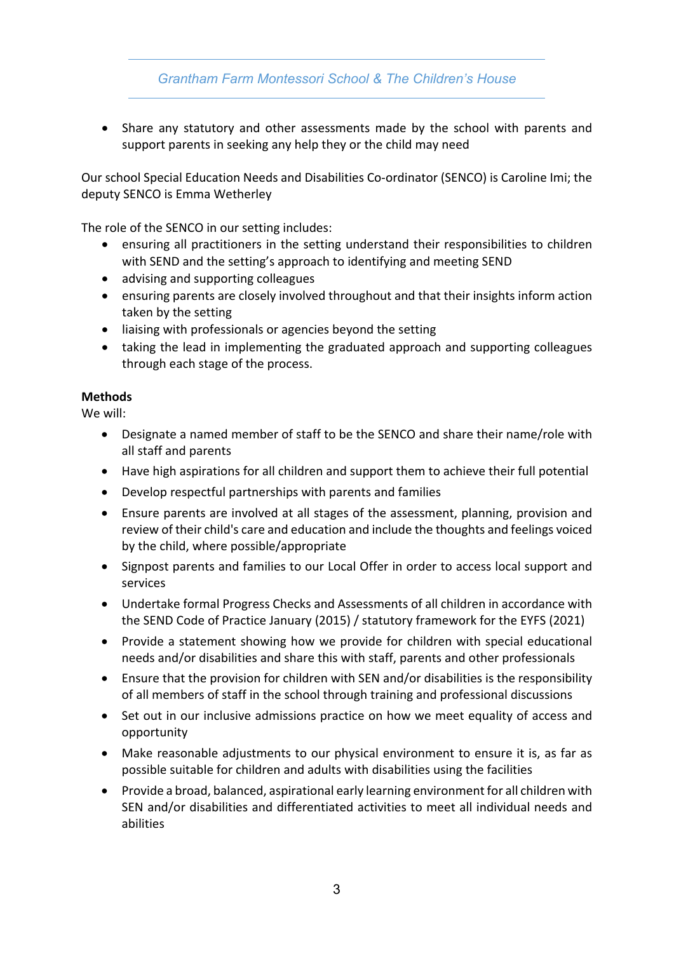# *Grantham Farm Montessori School & The Children's House*

• Share any statutory and other assessments made by the school with parents and support parents in seeking any help they or the child may need

Our school Special Education Needs and Disabilities Co-ordinator (SENCO) is Caroline Imi; the deputy SENCO is Emma Wetherley

The role of the SENCO in our setting includes:

- ensuring all practitioners in the setting understand their responsibilities to children with SEND and the setting's approach to identifying and meeting SEND
- advising and supporting colleagues
- ensuring parents are closely involved throughout and that their insights inform action taken by the setting
- liaising with professionals or agencies beyond the setting
- taking the lead in implementing the graduated approach and supporting colleagues through each stage of the process.

#### **Methods**

We will:

- Designate a named member of staff to be the SENCO and share their name/role with all staff and parents
- Have high aspirations for all children and support them to achieve their full potential
- Develop respectful partnerships with parents and families
- Ensure parents are involved at all stages of the assessment, planning, provision and review of their child's care and education and include the thoughts and feelings voiced by the child, where possible/appropriate
- Signpost parents and families to our Local Offer in order to access local support and services
- Undertake formal Progress Checks and Assessments of all children in accordance with the SEND Code of Practice January (2015) / statutory framework for the EYFS (2021)
- Provide a statement showing how we provide for children with special educational needs and/or disabilities and share this with staff, parents and other professionals
- Ensure that the provision for children with SEN and/or disabilities is the responsibility of all members of staff in the school through training and professional discussions
- Set out in our inclusive admissions practice on how we meet equality of access and opportunity
- Make reasonable adjustments to our physical environment to ensure it is, as far as possible suitable for children and adults with disabilities using the facilities
- Provide a broad, balanced, aspirational early learning environment for all children with SEN and/or disabilities and differentiated activities to meet all individual needs and abilities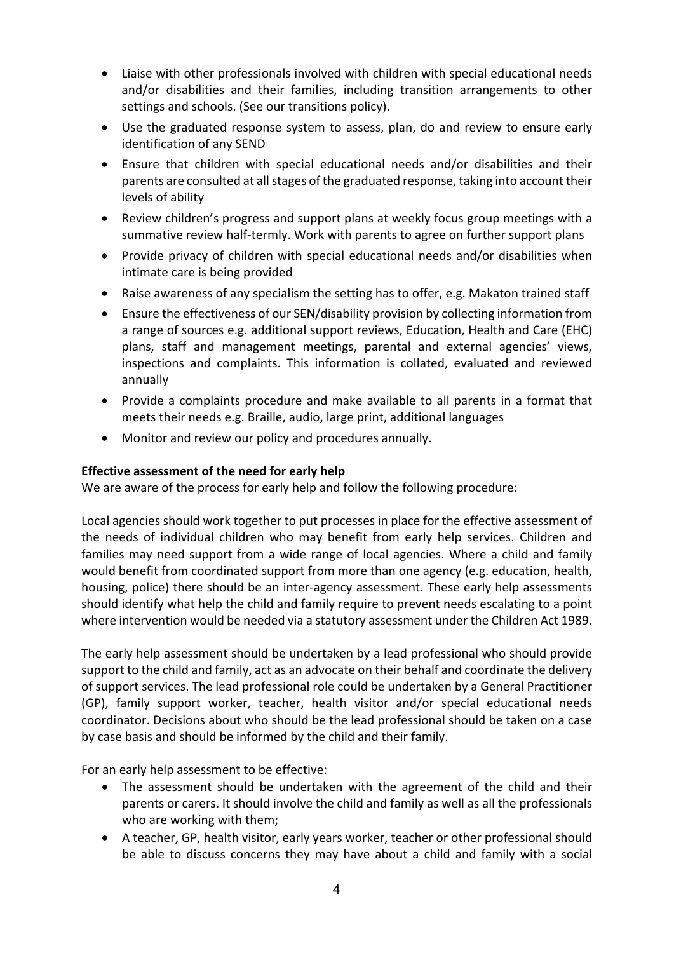- Liaise with other professionals involved with children with special educational needs and/or disabilities and their families, including transition arrangements to other settings and schools. (See our transitions policy).
- Use the graduated response system to assess, plan, do and review to ensure early identification of any SEND
- Ensure that children with special educational needs and/or disabilities and their parents are consulted at all stages of the graduated response, taking into account their levels of ability
- Review children's progress and support plans at weekly focus group meetings with a summative review half-termly. Work with parents to agree on further support plans
- Provide privacy of children with special educational needs and/or disabilities when intimate care is being provided
- Raise awareness of any specialism the setting has to offer, e.g. Makaton trained staff
- Ensure the effectiveness of our SEN/disability provision by collecting information from a range of sources e.g. additional support reviews, Education, Health and Care (EHC) plans, staff and management meetings, parental and external agencies' views, inspections and complaints. This information is collated, evaluated and reviewed annually
- Provide a complaints procedure and make available to all parents in a format that meets their needs e.g. Braille, audio, large print, additional languages
- Monitor and review our policy and procedures annually.

### **Effective assessment of the need for early help**

We are aware of the process for early help and follow the following procedure:

Local agencies should work together to put processes in place for the effective assessment of the needs of individual children who may benefit from early help services. Children and families may need support from a wide range of local agencies. Where a child and family would benefit from coordinated support from more than one agency (e.g. education, health, housing, police) there should be an inter-agency assessment. These early help assessments should identify what help the child and family require to prevent needs escalating to a point where intervention would be needed via a statutory assessment under the Children Act 1989.

The early help assessment should be undertaken by a lead professional who should provide support to the child and family, act as an advocate on their behalf and coordinate the delivery of support services. The lead professional role could be undertaken by a General Practitioner (GP), family support worker, teacher, health visitor and/or special educational needs coordinator. Decisions about who should be the lead professional should be taken on a case by case basis and should be informed by the child and their family.

For an early help assessment to be effective:

- The assessment should be undertaken with the agreement of the child and their parents or carers. It should involve the child and family as well as all the professionals who are working with them;
- A teacher, GP, health visitor, early years worker, teacher or other professional should be able to discuss concerns they may have about a child and family with a social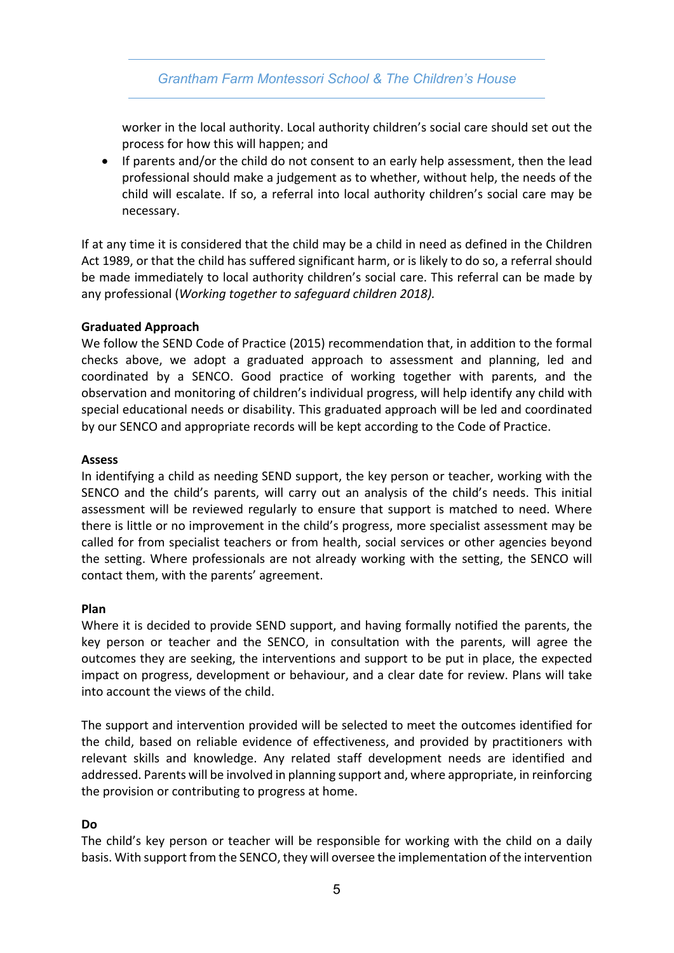## *Grantham Farm Montessori School & The Children's House*

worker in the local authority. Local authority children's social care should set out the process for how this will happen; and

• If parents and/or the child do not consent to an early help assessment, then the lead professional should make a judgement as to whether, without help, the needs of the child will escalate. If so, a referral into local authority children's social care may be necessary.

If at any time it is considered that the child may be a child in need as defined in the Children Act 1989, or that the child has suffered significant harm, or is likely to do so, a referral should be made immediately to local authority children's social care. This referral can be made by any professional (*Working together to safeguard children 2018).*

### **Graduated Approach**

We follow the SEND Code of Practice (2015) recommendation that, in addition to the formal checks above, we adopt a graduated approach to assessment and planning, led and coordinated by a SENCO. Good practice of working together with parents, and the observation and monitoring of children's individual progress, will help identify any child with special educational needs or disability. This graduated approach will be led and coordinated by our SENCO and appropriate records will be kept according to the Code of Practice.

#### **Assess**

In identifying a child as needing SEND support, the key person or teacher, working with the SENCO and the child's parents, will carry out an analysis of the child's needs. This initial assessment will be reviewed regularly to ensure that support is matched to need. Where there is little or no improvement in the child's progress, more specialist assessment may be called for from specialist teachers or from health, social services or other agencies beyond the setting. Where professionals are not already working with the setting, the SENCO will contact them, with the parents' agreement.

### **Plan**

Where it is decided to provide SEND support, and having formally notified the parents, the key person or teacher and the SENCO, in consultation with the parents, will agree the outcomes they are seeking, the interventions and support to be put in place, the expected impact on progress, development or behaviour, and a clear date for review. Plans will take into account the views of the child.

The support and intervention provided will be selected to meet the outcomes identified for the child, based on reliable evidence of effectiveness, and provided by practitioners with relevant skills and knowledge. Any related staff development needs are identified and addressed. Parents will be involved in planning support and, where appropriate, in reinforcing the provision or contributing to progress at home.

### **Do**

The child's key person or teacher will be responsible for working with the child on a daily basis. With support from the SENCO, they will oversee the implementation of the intervention